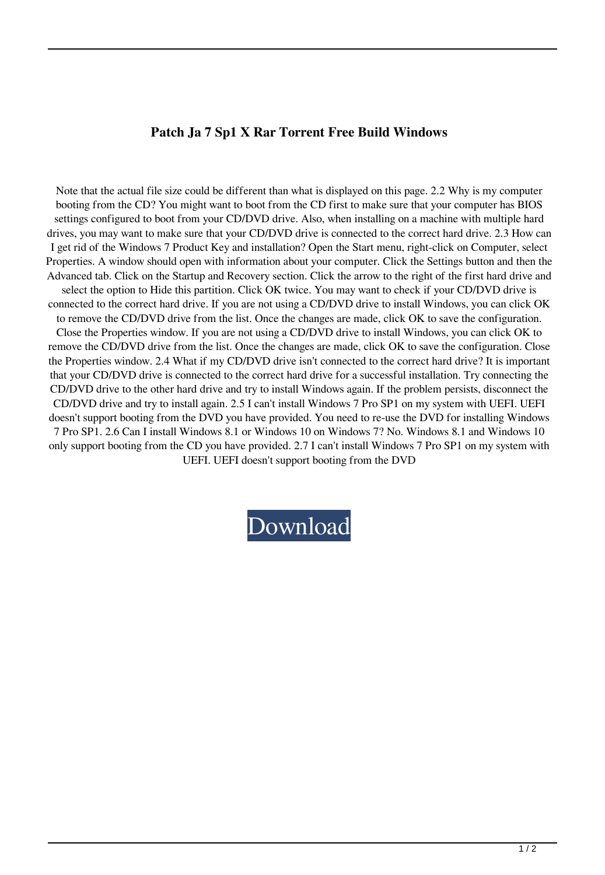## **Patch Ja 7 Sp1 X Rar Torrent Free Build Windows**

Note that the actual file size could be different than what is displayed on this page. 2.2 Why is my computer booting from the CD? You might want to boot from the CD first to make sure that your computer has BIOS settings configured to boot from your CD/DVD drive. Also, when installing on a machine with multiple hard drives, you may want to make sure that your CD/DVD drive is connected to the correct hard drive. 2.3 How can I get rid of the Windows 7 Product Key and installation? Open the Start menu, right-click on Computer, select Properties. A window should open with information about your computer. Click the Settings button and then the Advanced tab. Click on the Startup and Recovery section. Click the arrow to the right of the first hard drive and select the option to Hide this partition. Click OK twice. You may want to check if your CD/DVD drive is connected to the correct hard drive. If you are not using a CD/DVD drive to install Windows, you can click OK to remove the CD/DVD drive from the list. Once the changes are made, click OK to save the configuration. Close the Properties window. If you are not using a CD/DVD drive to install Windows, you can click OK to remove the CD/DVD drive from the list. Once the changes are made, click OK to save the configuration. Close the Properties window. 2.4 What if my CD/DVD drive isn't connected to the correct hard drive? It is important that your CD/DVD drive is connected to the correct hard drive for a successful installation. Try connecting the CD/DVD drive to the other hard drive and try to install Windows again. If the problem persists, disconnect the CD/DVD drive and try to install again. 2.5 I can't install Windows 7 Pro SP1 on my system with UEFI. UEFI doesn't support booting from the DVD you have provided. You need to re-use the DVD for installing Windows 7 Pro SP1. 2.6 Can I install Windows 8.1 or Windows 10 on Windows 7? No. Windows 8.1 and Windows 10 only support booting from the CD you have provided. 2.7 I can't install Windows 7 Pro SP1 on my system with UEFI. UEFI doesn't support booting from the DVD

[Download](http://evacdir.com/clevis?connoted=misjudgment/amEgd2luZG93cyA3IHByb2Zlc3Npb25hbCB3aXRoIHNwMSB4NjQgZHZkIHUgNjc2OTUxLmlzbwamE&ZG93bmxvYWR8Z2U1TW10NE1IeDhNVFkxTWpjME1EZzJObng4TWpVM05IeDhLRTBwSUhKbFlXUXRZbXh2WnlCYlJtRnpkQ0JIUlU1ZA=serbs)